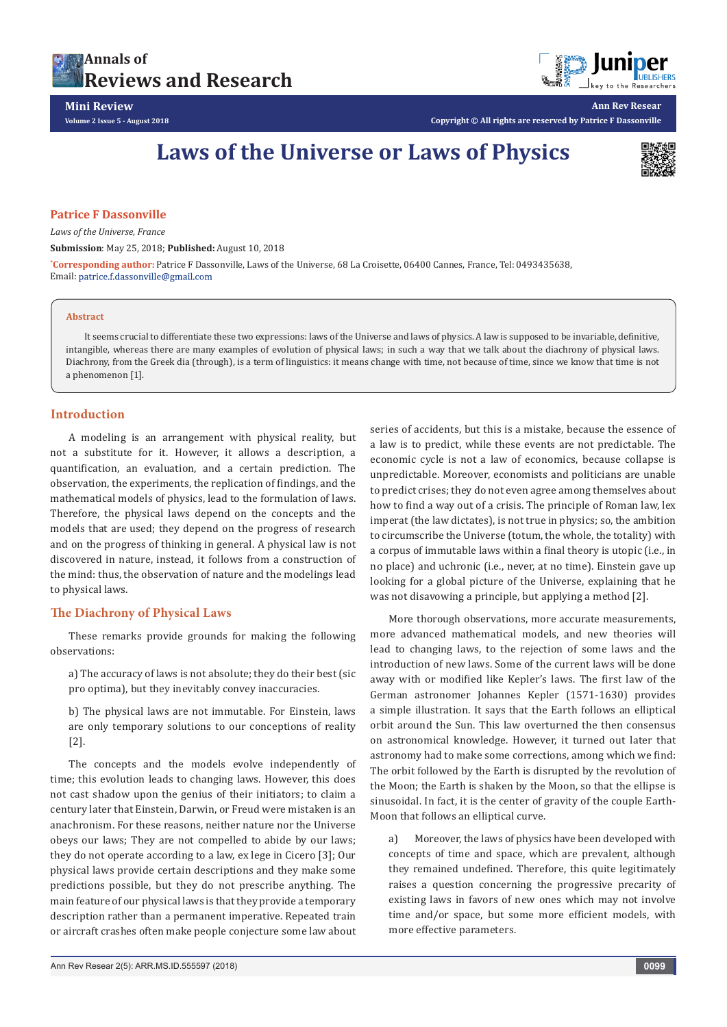



**Ann Rev Resear**

**Copyright © All rights are reserved by Patrice F Dassonville**

# **Laws of the Universe or Laws of Physics**



### **Patrice F Dassonville**

*Laws of the Universe, France*

**Submission**: May 25, 2018; **Published:** August 10, 2018

**\* Corresponding author:** Patrice F Dassonville, Laws of the Universe, 68 La Croisette, 06400 Cannes, France, Tel: 0493435638, Email: patrice.f.dassonville@gmail.com

#### **Abstract**

It seems crucial to differentiate these two expressions: laws of the Universe and laws of physics. A law is supposed to be invariable, definitive, intangible, whereas there are many examples of evolution of physical laws; in such a way that we talk about the diachrony of physical laws. Diachrony, from the Greek dia (through), is a term of linguistics: it means change with time, not because of time, since we know that time is not a phenomenon [1].

# **Introduction**

A modeling is an arrangement with physical reality, but not a substitute for it. However, it allows a description, a quantification, an evaluation, and a certain prediction. The observation, the experiments, the replication of findings, and the mathematical models of physics, lead to the formulation of laws. Therefore, the physical laws depend on the concepts and the models that are used; they depend on the progress of research and on the progress of thinking in general. A physical law is not discovered in nature, instead, it follows from a construction of the mind: thus, the observation of nature and the modelings lead to physical laws.

# **The Diachrony of Physical Laws**

These remarks provide grounds for making the following observations:

a) The accuracy of laws is not absolute; they do their best (sic pro optima), but they inevitably convey inaccuracies.

b) The physical laws are not immutable. For Einstein, laws are only temporary solutions to our conceptions of reality [2].

The concepts and the models evolve independently of time; this evolution leads to changing laws. However, this does not cast shadow upon the genius of their initiators; to claim a century later that Einstein, Darwin, or Freud were mistaken is an anachronism. For these reasons, neither nature nor the Universe obeys our laws; They are not compelled to abide by our laws; they do not operate according to a law, ex lege in Cicero [3]; Our physical laws provide certain descriptions and they make some predictions possible, but they do not prescribe anything. The main feature of our physical laws is that they provide a temporary description rather than a permanent imperative. Repeated train or aircraft crashes often make people conjecture some law about

series of accidents, but this is a mistake, because the essence of a law is to predict, while these events are not predictable. The economic cycle is not a law of economics, because collapse is unpredictable. Moreover, economists and politicians are unable to predict crises; they do not even agree among themselves about how to find a way out of a crisis. The principle of Roman law, lex imperat (the law dictates), is not true in physics; so, the ambition to circumscribe the Universe (totum, the whole, the totality) with a corpus of immutable laws within a final theory is utopic (i.e., in no place) and uchronic (i.e., never, at no time). Einstein gave up looking for a global picture of the Universe, explaining that he was not disavowing a principle, but applying a method [2].

More thorough observations, more accurate measurements, more advanced mathematical models, and new theories will lead to changing laws, to the rejection of some laws and the introduction of new laws. Some of the current laws will be done away with or modified like Kepler's laws. The first law of the German astronomer Johannes Kepler (1571-1630) provides a simple illustration. It says that the Earth follows an elliptical orbit around the Sun. This law overturned the then consensus on astronomical knowledge. However, it turned out later that astronomy had to make some corrections, among which we find: The orbit followed by the Earth is disrupted by the revolution of the Moon; the Earth is shaken by the Moon, so that the ellipse is sinusoidal. In fact, it is the center of gravity of the couple Earth-Moon that follows an elliptical curve.

a) Moreover, the laws of physics have been developed with concepts of time and space, which are prevalent, although they remained undefined. Therefore, this quite legitimately raises a question concerning the progressive precarity of existing laws in favors of new ones which may not involve time and/or space, but some more efficient models, with more effective parameters.